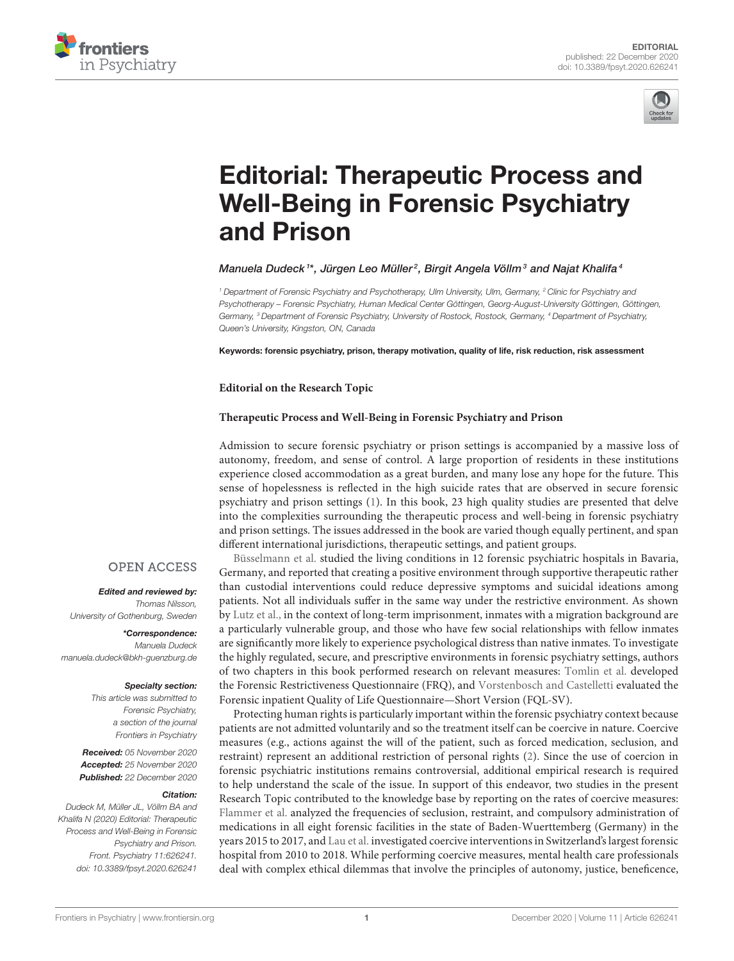



# [Editorial: Therapeutic Process and](https://www.frontiersin.org/articles/10.3389/fpsyt.2020.626241/full) Well-Being in Forensic Psychiatry and Prison

## Manuela Dudeck<sup>1\*</sup>, Jürgen Leo Müller<sup>2</sup>, Birgit Angela Völlm $^3$  and Najat Khalifa $^4$

<sup>1</sup> Department of Forensic Psychiatry and Psychotherapy, Ulm University, Ulm, Germany, <sup>2</sup> Clinic for Psychiatry and Psychotherapy – Forensic Psychiatry, Human Medical Center Göttingen, Georg-August-University Göttingen, Göttingen, Germany, <sup>3</sup> Department of Forensic Psychiatry, University of Rostock, Rostock, Germany, <sup>4</sup> Department of Psychiatry, Queen's University, Kingston, ON, Canada

Keywords: forensic psychiatry, prison, therapy motivation, quality of life, risk reduction, risk assessment

**Editorial on the Research Topic**

## **[Therapeutic Process and Well-Being in Forensic Psychiatry and Prison](https://www.frontiersin.org/research-topics/9252/therapeutic-process-and-well-being-in-forensic-psychiatry-and-prison)**

Admission to secure forensic psychiatry or prison settings is accompanied by a massive loss of autonomy, freedom, and sense of control. A large proportion of residents in these institutions experience closed accommodation as a great burden, and many lose any hope for the future. This sense of hopelessness is reflected in the high suicide rates that are observed in secure forensic psychiatry and prison settings [\(1\)](#page-2-0). In this book, 23 high quality studies are presented that delve into the complexities surrounding the therapeutic process and well-being in forensic psychiatry and prison settings. The issues addressed in the book are varied though equally pertinent, and span different international jurisdictions, therapeutic settings, and patient groups.

[Büsselmann et al.](https://doi.org/10.3389/fpsyt.2019.01014) studied the living conditions in 12 forensic psychiatric hospitals in Bavaria, Germany, and reported that creating a positive environment through supportive therapeutic rather than custodial interventions could reduce depressive symptoms and suicidal ideations among patients. Not all individuals suffer in the same way under the restrictive environment. As shown by [Lutz et al.,](https://doi.org/10.3389/fpsyt.2019.00818) in the context of long-term imprisonment, inmates with a migration background are a particularly vulnerable group, and those who have few social relationships with fellow inmates are significantly more likely to experience psychological distress than native inmates. To investigate the highly regulated, secure, and prescriptive environments in forensic psychiatry settings, authors of two chapters in this book performed research on relevant measures: [Tomlin et al.](https://doi.org/10.3389/fpsyt.2019.00805) developed the Forensic Restrictiveness Questionnaire (FRQ), and [Vorstenbosch and Castelletti](https://doi.org/10.3389/fpsyt.2020.00258) evaluated the Forensic inpatient Quality of Life Questionnaire—Short Version (FQL-SV).

Protecting human rights is particularly important within the forensic psychiatry context because patients are not admitted voluntarily and so the treatment itself can be coercive in nature. Coercive measures (e.g., actions against the will of the patient, such as forced medication, seclusion, and restraint) represent an additional restriction of personal rights [\(2\)](#page-2-1). Since the use of coercion in forensic psychiatric institutions remains controversial, additional empirical research is required to help understand the scale of the issue. In support of this endeavor, two studies in the present Research Topic contributed to the knowledge base by reporting on the rates of coercive measures: [Flammer et al.](https://doi.org/10.3389/fpsyt.2020.00146) analyzed the frequencies of seclusion, restraint, and compulsory administration of medications in all eight forensic facilities in the state of Baden-Wuerttemberg (Germany) in the years 2015 to 2017, and [Lau et al.](https://doi.org/10.3389/fpsyt.2020.00465) investigated coercive interventions in Switzerland's largest forensic hospital from 2010 to 2018. While performing coercive measures, mental health care professionals deal with complex ethical dilemmas that involve the principles of autonomy, justice, beneficence,

# **OPEN ACCESS**

Edited and reviewed by: Thomas Nilsson, University of Gothenburg, Sweden

\*Correspondence: Manuela Dudeck [manuela.dudeck@bkh-guenzburg.de](mailto:manuela.dudeck@bkh-guenzburg.de)

#### Specialty section:

This article was submitted to Forensic Psychiatry, a section of the journal Frontiers in Psychiatry

Received: 05 November 2020 Accepted: 25 November 2020 Published: 22 December 2020

#### Citation:

Dudeck M, Müller JL, Völlm BA and Khalifa N (2020) Editorial: Therapeutic Process and Well-Being in Forensic Psychiatry and Prison. Front. Psychiatry 11:626241. doi: [10.3389/fpsyt.2020.626241](https://doi.org/10.3389/fpsyt.2020.626241)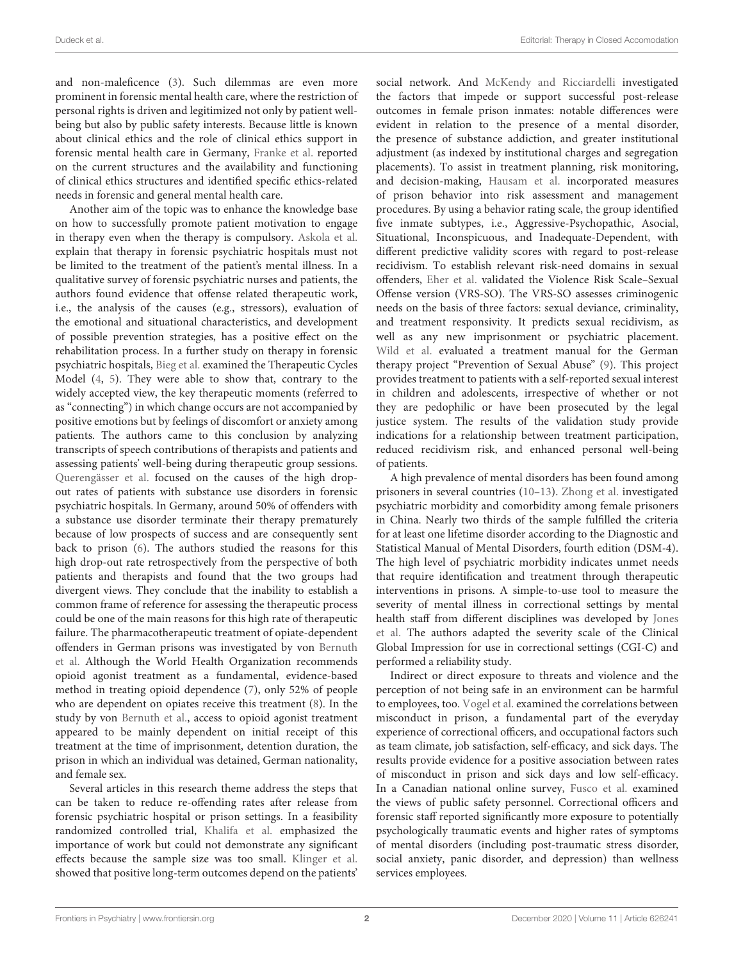and non-maleficence [\(3\)](#page-2-2). Such dilemmas are even more prominent in forensic mental health care, where the restriction of personal rights is driven and legitimized not only by patient wellbeing but also by public safety interests. Because little is known about clinical ethics and the role of clinical ethics support in forensic mental health care in Germany, [Franke et al.](https://doi.org/10.3389/fpsyt.2020.00186) reported on the current structures and the availability and functioning of clinical ethics structures and identified specific ethics-related needs in forensic and general mental health care.

Another aim of the topic was to enhance the knowledge base on how to successfully promote patient motivation to engage in therapy even when the therapy is compulsory. Askola et al. [explain that therapy in forensic psychiatric hospitals must not](https://doi.org/10.3389/fpsyt.2019.00925) be limited to the treatment of the patient's mental illness. In a qualitative survey of forensic psychiatric nurses and patients, the authors found evidence that offense related therapeutic work, i.e., the analysis of the causes (e.g., stressors), evaluation of the emotional and situational characteristics, and development of possible prevention strategies, has a positive effect on the rehabilitation process. In a further study on therapy in forensic psychiatric hospitals, [Bieg et al.](https://doi.org/10.3389/fpsyt.2020.00409) examined the Therapeutic Cycles Model [\(4,](#page-2-3) [5\)](#page-2-4). They were able to show that, contrary to the widely accepted view, the key therapeutic moments (referred to as "connecting") in which change occurs are not accompanied by positive emotions but by feelings of discomfort or anxiety among patients. The authors came to this conclusion by analyzing transcripts of speech contributions of therapists and patients and assessing patients' well-being during therapeutic group sessions. [Querengässer et al.](https://doi.org/10.3389/fpsyt.2019.00879) focused on the causes of the high dropout rates of patients with substance use disorders in forensic psychiatric hospitals. In Germany, around 50% of offenders with a substance use disorder terminate their therapy prematurely because of low prospects of success and are consequently sent back to prison [\(6\)](#page-2-5). The authors studied the reasons for this high drop-out rate retrospectively from the perspective of both patients and therapists and found that the two groups had divergent views. They conclude that the inability to establish a common frame of reference for assessing the therapeutic process could be one of the main reasons for this high rate of therapeutic failure. The pharmacotherapeutic treatment of opiate-dependent offenders in German prisons was investigated by von Bernuth et al. [Although the World Health Organization recommends](https://doi.org/10.3389/fpsyt.2020.00794) opioid agonist treatment as a fundamental, evidence-based method in treating opioid dependence [\(7\)](#page-2-6), only 52% of people who are dependent on opiates receive this treatment [\(8\)](#page-2-7). In the study by von [Bernuth et al.,](https://doi.org/10.3389/fpsyt.2020.00794) access to opioid agonist treatment appeared to be mainly dependent on initial receipt of this treatment at the time of imprisonment, detention duration, the prison in which an individual was detained, German nationality, and female sex.

Several articles in this research theme address the steps that can be taken to reduce re-offending rates after release from forensic psychiatric hospital or prison settings. In a feasibility randomized controlled trial, [Khalifa et al.](https://doi.org/10.3389/fpsyt.2019.00952) emphasized the importance of work but could not demonstrate any significant effects because the sample size was too small. [Klinger et al.](https://doi.org/10.3389/fpsyt.2020.00042) showed that positive long-term outcomes depend on the patients' social network. And [McKendy and Ricciardelli](https://doi.org/10.3389/fpsyt.2019.00875) investigated the factors that impede or support successful post-release outcomes in female prison inmates: notable differences were evident in relation to the presence of a mental disorder, the presence of substance addiction, and greater institutional adjustment (as indexed by institutional charges and segregation placements). To assist in treatment planning, risk monitoring, and decision-making, [Hausam et al.](https://doi.org/10.3389/fpsyt.2020.00241) incorporated measures of prison behavior into risk assessment and management procedures. By using a behavior rating scale, the group identified five inmate subtypes, i.e., Aggressive-Psychopathic, Asocial, Situational, Inconspicuous, and Inadequate-Dependent, with different predictive validity scores with regard to post-release recidivism. To establish relevant risk-need domains in sexual offenders, [Eher et al.](https://doi.org/10.3389/fpsyt.2019.00922) validated the Violence Risk Scale–Sexual Offense version (VRS-SO). The VRS-SO assesses criminogenic needs on the basis of three factors: sexual deviance, criminality, and treatment responsivity. It predicts sexual recidivism, as well as any new imprisonment or psychiatric placement. [Wild et al.](https://doi.org/10.3389/fpsyt.2020.00088) evaluated a treatment manual for the German therapy project "Prevention of Sexual Abuse" [\(9\)](#page-2-8). This project provides treatment to patients with a self-reported sexual interest in children and adolescents, irrespective of whether or not they are pedophilic or have been prosecuted by the legal justice system. The results of the validation study provide indications for a relationship between treatment participation, reduced recidivism risk, and enhanced personal well-being of patients.

A high prevalence of mental disorders has been found among prisoners in several countries [\(10](#page-2-9)[–13\)](#page-2-10). [Zhong et al.](https://doi.org/10.3389/fpsyt.2020.00271) investigated psychiatric morbidity and comorbidity among female prisoners in China. Nearly two thirds of the sample fulfilled the criteria for at least one lifetime disorder according to the Diagnostic and Statistical Manual of Mental Disorders, fourth edition (DSM-4). The high level of psychiatric morbidity indicates unmet needs that require identification and treatment through therapeutic interventions in prisons. A simple-to-use tool to measure the severity of mental illness in correctional settings by mental [health staff from different disciplines was developed by](https://doi.org/10.3389/fpsyt.2019.00687) Jones et al. The authors adapted the severity scale of the Clinical Global Impression for use in correctional settings (CGI-C) and performed a reliability study.

Indirect or direct exposure to threats and violence and the perception of not being safe in an environment can be harmful to employees, too. [Vogel et al.](https://doi.org/10.3389/fpsyt.2020.00517) examined the correlations between misconduct in prison, a fundamental part of the everyday experience of correctional officers, and occupational factors such as team climate, job satisfaction, self-efficacy, and sick days. The results provide evidence for a positive association between rates of misconduct in prison and sick days and low self-efficacy. In a Canadian national online survey, [Fusco et al.](https://doi.org/10.3389/fpsyt.2020.493391) examined the views of public safety personnel. Correctional officers and forensic staff reported significantly more exposure to potentially psychologically traumatic events and higher rates of symptoms of mental disorders (including post-traumatic stress disorder, social anxiety, panic disorder, and depression) than wellness services employees.